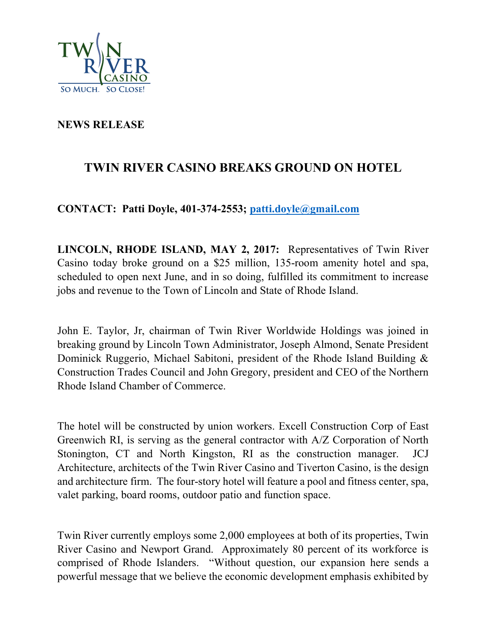

## **NEWS RELEASE**

## **TWIN RIVER CASINO BREAKS GROUND ON HOTEL**

**CONTACT: Patti Doyle, 401-374-2553; patti.doyle@gmail.com**

**LINCOLN, RHODE ISLAND, MAY 2, 2017:** Representatives of Twin River Casino today broke ground on a \$25 million, 135-room amenity hotel and spa, scheduled to open next June, and in so doing, fulfilled its commitment to increase jobs and revenue to the Town of Lincoln and State of Rhode Island.

John E. Taylor, Jr, chairman of Twin River Worldwide Holdings was joined in breaking ground by Lincoln Town Administrator, Joseph Almond, Senate President Dominick Ruggerio, Michael Sabitoni, president of the Rhode Island Building & Construction Trades Council and John Gregory, president and CEO of the Northern Rhode Island Chamber of Commerce.

The hotel will be constructed by union workers. Excell Construction Corp of East Greenwich RI, is serving as the general contractor with A/Z Corporation of North Stonington, CT and North Kingston, RI as the construction manager. JCJ Architecture, architects of the Twin River Casino and Tiverton Casino, is the design and architecture firm. The four-story hotel will feature a pool and fitness center, spa, valet parking, board rooms, outdoor patio and function space.

Twin River currently employs some 2,000 employees at both of its properties, Twin River Casino and Newport Grand. Approximately 80 percent of its workforce is comprised of Rhode Islanders. "Without question, our expansion here sends a powerful message that we believe the economic development emphasis exhibited by